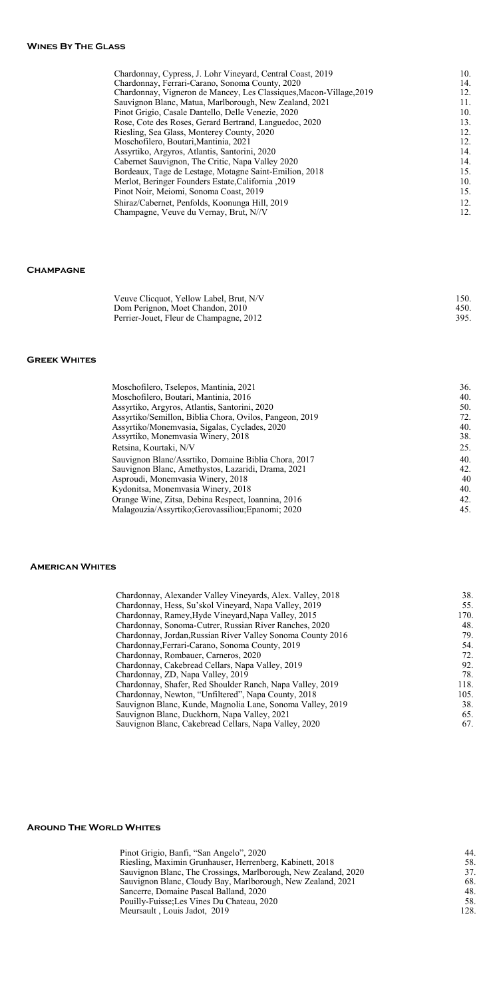# **Champagne**

#### **Greek Whites**

### **American Whites**

#### **Around The World Whites**

| Pinot Grigio, Banfi, "San Angelo", 2020                        | 44.  |
|----------------------------------------------------------------|------|
| Riesling, Maximin Grunhauser, Herrenberg, Kabinett, 2018       | 58.  |
| Sauvignon Blanc, The Crossings, Marlborough, New Zealand, 2020 | 37.  |
| Sauvignon Blanc, Cloudy Bay, Marlborough, New Zealand, 2021    | 68.  |
| Sancerre, Domaine Pascal Balland, 2020                         | 48.  |
| Pouilly-Fuisse; Les Vines Du Chateau, 2020                     | 58.  |
| Meursault, Louis Jadot, 2019                                   | 128. |
|                                                                |      |

| Chardonnay, Cypress, J. Lohr Vineyard, Central Coast, 2019          | 10. |
|---------------------------------------------------------------------|-----|
| Chardonnay, Ferrari-Carano, Sonoma County, 2020                     | 14. |
| Chardonnay, Vigneron de Mancey, Les Classiques, Macon-Village, 2019 | 12. |
| Sauvignon Blanc, Matua, Marlborough, New Zealand, 2021              | 11. |
| Pinot Grigio, Casale Dantello, Delle Venezie, 2020                  | 10. |
| Rose, Cote des Roses, Gerard Bertrand, Languedoc, 2020              | 13. |
| Riesling, Sea Glass, Monterey County, 2020                          | 12. |
| Moschofilero, Boutari, Mantinia, 2021                               | 12. |
| Assyrtiko, Argyros, Atlantis, Santorini, 2020                       | 14. |
| Cabernet Sauvignon, The Critic, Napa Valley 2020                    | 14. |
| Bordeaux, Tage de Lestage, Motagne Saint-Emilion, 2018              | 15. |
| Merlot, Beringer Founders Estate, California , 2019                 | 10. |
| Pinot Noir, Meiomi, Sonoma Coast, 2019                              | 15. |
| Shiraz/Cabernet, Penfolds, Koonunga Hill, 2019                      | 12. |
| Champagne, Veuve du Vernay, Brut, N//V                              | 12. |
|                                                                     |     |

| Veuve Clicquot, Yellow Label, Brut, N/V | 150. |
|-----------------------------------------|------|
| Dom Perignon, Moet Chandon, 2010        | 450. |
| Perrier-Jouet, Fleur de Champagne, 2012 | 395. |

| Moschofilero, Tselepos, Mantinia, 2021                  | 36. |
|---------------------------------------------------------|-----|
| Moschofilero, Boutari, Mantinia, 2016                   | 40. |
| Assyrtiko, Argyros, Atlantis, Santorini, 2020           | 50. |
| Assyrtiko/Semillon, Biblia Chora, Ovilos, Pangeon, 2019 | 72. |
| Assyrtiko/Monemvasia, Sigalas, Cyclades, 2020           | 40. |
| Assyrtiko, Monemvasia Winery, 2018                      | 38. |
| Retsina, Kourtaki, N/V                                  | 25. |
| Sauvignon Blanc/Assrtiko, Domaine Biblia Chora, 2017    | 40. |
| Sauvignon Blanc, Amethystos, Lazaridi, Drama, 2021      | 42. |
| Asproudi, Monemvasia Winery, 2018                       | 40  |
| Kydonitsa, Monemvasia Winery, 2018                      | 40. |
| Orange Wine, Zitsa, Debina Respect, Ioannina, 2016      | 42. |
| Malagouzia/Assyrtiko;Gerovassiliou;Epanomi; 2020        | 45. |
|                                                         |     |

| Chardonnay, Alexander Valley Vineyards, Alex. Valley, 2018  | 38.  |
|-------------------------------------------------------------|------|
| Chardonnay, Hess, Su'skol Vineyard, Napa Valley, 2019       | 55.  |
| Chardonnay, Ramey, Hyde Vineyard, Napa Valley, 2015         | 170. |
| Chardonnay, Sonoma-Cutrer, Russian River Ranches, 2020      | 48.  |
| Chardonnay, Jordan, Russian River Valley Sonoma County 2016 | 79.  |
| Chardonnay, Ferrari-Carano, Sonoma County, 2019             | 54.  |
| Chardonnay, Rombauer, Carneros, 2020                        | 72.  |
| Chardonnay, Cakebread Cellars, Napa Valley, 2019            | 92.  |
| Chardonnay, ZD, Napa Valley, 2019                           | 78.  |
| Chardonnay, Shafer, Red Shoulder Ranch, Napa Valley, 2019   | 118. |
| Chardonnay, Newton, "Unfiltered", Napa County, 2018         | 105. |
| Sauvignon Blanc, Kunde, Magnolia Lane, Sonoma Valley, 2019  | 38.  |
| Sauvignon Blanc, Duckhorn, Napa Valley, 2021                | 65.  |
| Sauvignon Blanc, Cakebread Cellars, Napa Valley, 2020       | 67.  |
|                                                             |      |